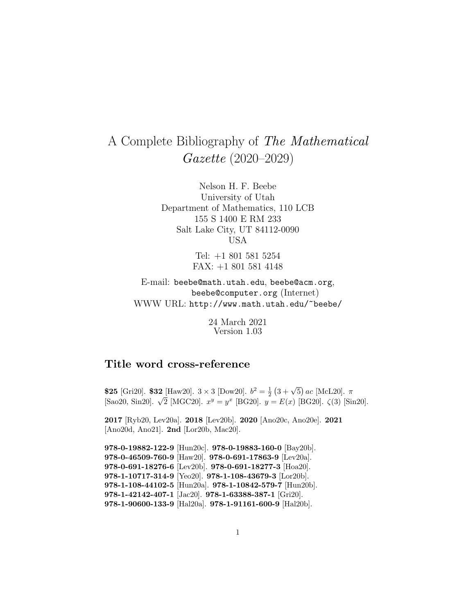# A Complete Bibliography of The Mathematical Gazette (2020–2029)

Nelson H. F. Beebe University of Utah Department of Mathematics, 110 LCB 155 S 1400 E RM 233 Salt Lake City, UT 84112-0090 USA

> Tel: +1 801 581 5254 FAX: +1 801 581 4148

E-mail: beebe@math.utah.edu, beebe@acm.org, beebe@computer.org (Internet) WWW URL: http://www.math.utah.edu/~beebe/

> 24 March 2021 Version 1.03

# **Title word cross-reference**

**\$25** [Gri20]. **\$32** [Haw20].  $3 \times 3$  [Dow20].  $b^2 = \frac{1}{2}(3 + \sqrt{5})ac$  [McL20].  $\pi$  $[Sao20, Sin20]$ .  $\sqrt{2}$  [MGC20].  $x^y = y^x$  [BG20].  $y = E(x)$  [BG20].  $\zeta(3)$  [Sin20].

**2017** [Ryb20, Lev20a]. **2018** [Lev20b]. **2020** [Ano20c, Ano20e]. **2021** [Ano20d, Ano21]. **2nd** [Lor20b, Mac20].

**978-0-19882-122-9** [Hun20c]. **978-0-19883-160-0** [Bay20b]. **978-0-46509-760-9** [Haw20]. **978-0-691-17863-9** [Lev20a]. **978-0-691-18276-6** [Lev20b]. **978-0-691-18277-3** [Hoa20]. **978-1-10717-314-9** [Yeo20]. **978-1-108-43679-3** [Lor20b]. **978-1-108-44102-5** [Hun20a]. **978-1-10842-579-7** [Hun20b]. **978-1-42142-407-1** [Jac20]. **978-1-63388-387-1** [Gri20]. **978-1-90600-133-9** [Hal20a]. **978-1-91161-600-9** [Hal20b].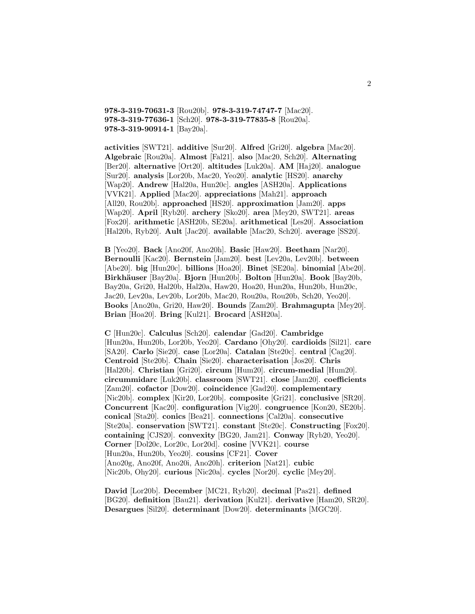**978-3-319-70631-3** [Rou20b]. **978-3-319-74747-7** [Mac20]. **978-3-319-77636-1** [Sch20]. **978-3-319-77835-8** [Rou20a]. **978-3-319-90914-1** [Bay20a].

**activities** [SWT21]. **additive** [Sur20]. **Alfred** [Gri20]. **algebra** [Mac20]. **Algebraic** [Rou20a]. **Almost** [Fal21]. **also** [Mac20, Sch20]. **Alternating** [Ber20]. **alternative** [Ort20]. **altitudes** [Luk20a]. **AM** [Haj20]. **analogue** [Sur20]. **analysis** [Lor20b, Mac20, Yeo20]. **analytic** [HS20]. **anarchy** [Wap20]. **Andrew** [Hal20a, Hun20c]. **angles** [ASH20a]. **Applications** [VVK21]. **Applied** [Mac20]. **appreciations** [Mah21]. **approach** [All20, Rou20b]. **approached** [HS20]. **approximation** [Jam20]. **apps** [Wap20]. **April** [Ryb20]. **archery** [Sko20]. **area** [Mey20, SWT21]. **areas** [Fox20]. **arithmetic** [ASH20b, SE20a]. **arithmetical** [Les20]. **Association** [Hal20b, Ryb20]. **Ault** [Jac20]. **available** [Mac20, Sch20]. **average** [SS20].

**B** [Yeo20]. **Back** [Ano20f, Ano20h]. **Basic** [Haw20]. **Beetham** [Nar20]. **Bernoulli** [Kac20]. **Bernstein** [Jam20]. **best** [Lev20a, Lev20b]. **between** [Abe20]. **big** [Hun20c]. **billions** [Hoa20]. **Binet** [SE20a]. **binomial** [Abe20]. **Birkh¨auser** [Bay20a]. **Bjorn** [Hun20b]. **Bolton** [Hun20a]. **Book** [Bay20b, Bay20a, Gri20, Hal20b, Hal20a, Haw20, Hoa20, Hun20a, Hun20b, Hun20c, Jac20, Lev20a, Lev20b, Lor20b, Mac20, Rou20a, Rou20b, Sch20, Yeo20]. **Books** [Ano20a, Gri20, Haw20]. **Bounds** [Zam20]. **Brahmagupta** [Mey20]. **Brian** [Hoa20]. **Bring** [Kul21]. **Brocard** [ASH20a].

**C** [Hun20c]. **Calculus** [Sch20]. **calendar** [Gad20]. **Cambridge** [Hun20a, Hun20b, Lor20b, Yeo20]. **Cardano** [Ohy20]. **cardioids** [Sil21]. **care** [SA20]. **Carlo** [Sie20]. **case** [Lor20a]. **Catalan** [Ste20c]. **central** [Cag20]. **Centroid** [Ste20b]. **Chain** [Sie20]. **characterisation** [Jos20]. **Chris** [Hal20b]. **Christian** [Gri20]. **circum** [Hum20]. **circum-medial** [Hum20]. **circummidarc** [Luk20b]. **classroom** [SWT21]. **close** [Jam20]. **coefficients** [Zam20]. **cofactor** [Dow20]. **coincidence** [Gad20]. **complementary** [Nic20b]. **complex** [Kir20, Lor20b]. **composite** [Gri21]. **conclusive** [SR20]. **Concurrent** [Kac20]. **configuration** [Vig20]. **congruence** [Kon20, SE20b]. **conical** [Sta20]. **conics** [Bea21]. **connections** [Cal20a]. **consecutive** [Ste20a]. **conservation** [SWT21]. **constant** [Ste20c]. **Constructing** [Fox20]. **containing** [CJS20]. **convexity** [BG20, Jam21]. **Conway** [Ryb20, Yeo20]. **Corner** [Dol20c, Lor20c, Lor20d]. **cosine** [VVK21]. **course** [Hun20a, Hun20b, Yeo20]. **cousins** [CF21]. **Cover** [Ano20g, Ano20f, Ano20i, Ano20h]. **criterion** [Nat21]. **cubic** [Nic20b, Ohy20]. **curious** [Nic20a]. **cycles** [Nor20]. **cyclic** [Mey20].

**David** [Lor20b]. **December** [MC21, Ryb20]. **decimal** [Pas21]. **defined** [BG20]. **definition** [Bau21]. **derivation** [Kul21]. **derivative** [Ham20, SR20]. **Desargues** [Sil20]. **determinant** [Dow20]. **determinants** [MGC20].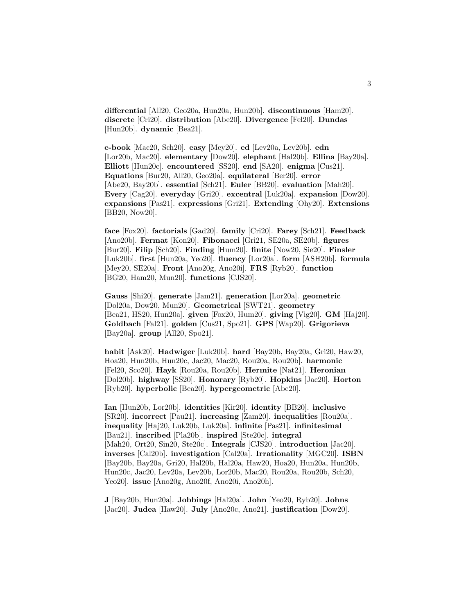**differential** [All20, Geo20a, Hun20a, Hun20b]. **discontinuous** [Ham20]. **discrete** [Cri20]. **distribution** [Abe20]. **Divergence** [Fel20]. **Dundas** [Hun20b]. **dynamic** [Bea21].

**e-book** [Mac20, Sch20]. **easy** [Mey20]. **ed** [Lev20a, Lev20b]. **edn** [Lor20b, Mac20]. **elementary** [Dow20]. **elephant** [Hal20b]. **Ellina** [Bay20a]. **Elliott** [Hun20c]. **encountered** [SS20]. **end** [SA20]. **enigma** [Cus21]. **Equations** [Bur20, All20, Geo20a]. **equilateral** [Ber20]. **error** [Abe20, Bay20b]. **essential** [Sch21]. **Euler** [BB20]. **evaluation** [Mah20]. **Every** [Cag20]. **everyday** [Gri20]. **excentral** [Luk20a]. **expansion** [Dow20]. **expansions** [Pas21]. **expressions** [Gri21]. **Extending** [Ohy20]. **Extensions** [BB20, Now20].

**face** [Fox20]. **factorials** [Gad20]. **family** [Cri20]. **Farey** [Sch21]. **Feedback** [Ano20b]. **Fermat** [Kon20]. **Fibonacci** [Gri21, SE20a, SE20b]. **figures** [Bur20]. **Filip** [Sch20]. **Finding** [Hum20]. **finite** [Now20, Sie20]. **Finsler** [Luk20b]. **first** [Hun20a, Yeo20]. **fluency** [Lor20a]. **form** [ASH20b]. **formula** [Mey20, SE20a]. **Front** [Ano20g, Ano20i]. **FRS** [Ryb20]. **function** [BG20, Ham20, Mun20]. **functions** [CJS20].

**Gauss** [Shi20]. **generate** [Jam21]. **generation** [Lor20a]. **geometric** [Dol20a, Dow20, Mun20]. **Geometrical** [SWT21]. **geometry** [Bea21, HS20, Hun20a]. **given** [Fox20, Hum20]. **giving** [Vig20]. **GM** [Haj20]. **Goldbach** [Fal21]. **golden** [Cus21, Spo21]. **GPS** [Wap20]. **Grigorieva** [Bay20a]. **group** [All20, Spo21].

**habit** [Ask20]. **Hadwiger** [Luk20b]. **hard** [Bay20b, Bay20a, Gri20, Haw20, Hoa20, Hun20b, Hun20c, Jac20, Mac20, Rou20a, Rou20b]. **harmonic** [Fel20, Sco20]. **Hayk** [Rou20a, Rou20b]. **Hermite** [Nat21]. **Heronian** [Dol20b]. **highway** [SS20]. **Honorary** [Ryb20]. **Hopkins** [Jac20]. **Horton** [Ryb20]. **hyperbolic** [Bea20]. **hypergeometric** [Abe20].

**Ian** [Hun20b, Lor20b]. **identities** [Kir20]. **identity** [BB20]. **inclusive** [SR20]. **incorrect** [Pau21]. **increasing** [Zam20]. **inequalities** [Rou20a]. **inequality** [Haj20, Luk20b, Luk20a]. **infinite** [Pas21]. **infinitesimal** [Bau21]. **inscribed** [Pla20b]. **inspired** [Ste20c]. **integral** [Mah20, Ort20, Sin20, Ste20c]. **Integrals** [CJS20]. **introduction** [Jac20]. **inverses** [Cal20b]. **investigation** [Cal20a]. **Irrationality** [MGC20]. **ISBN** [Bay20b, Bay20a, Gri20, Hal20b, Hal20a, Haw20, Hoa20, Hun20a, Hun20b, Hun20c, Jac20, Lev20a, Lev20b, Lor20b, Mac20, Rou20a, Rou20b, Sch20, Yeo20]. **issue** [Ano20g, Ano20f, Ano20i, Ano20h].

**J** [Bay20b, Hun20a]. **Jobbings** [Hal20a]. **John** [Yeo20, Ryb20]. **Johns** [Jac20]. **Judea** [Haw20]. **July** [Ano20c, Ano21]. **justification** [Dow20].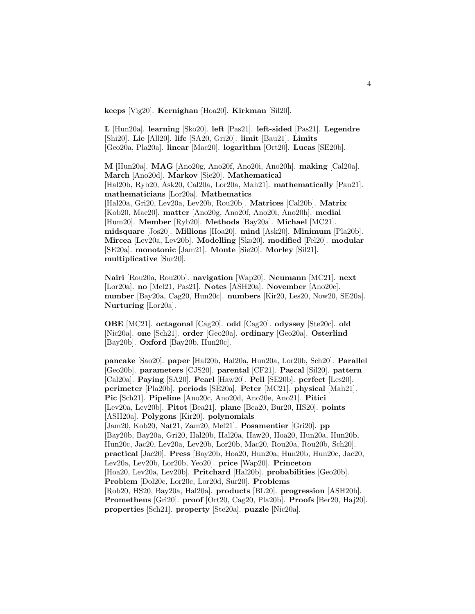**keeps** [Vig20]. **Kernighan** [Hoa20]. **Kirkman** [Sil20].

**L** [Hun20a]. **learning** [Sko20]. **left** [Pas21]. **left-sided** [Pas21]. **Legendre** [Shi20]. **Lie** [All20]. **life** [SA20, Gri20]. **limit** [Bau21]. **Limits** [Geo20a, Pla20a]. **linear** [Mac20]. **logarithm** [Ort20]. **Lucas** [SE20b].

**M** [Hun20a]. **MAG** [Ano20g, Ano20f, Ano20i, Ano20h]. **making** [Cal20a]. **March** [Ano20d]. **Markov** [Sie20]. **Mathematical** [Hal20b, Ryb20, Ask20, Cal20a, Lor20a, Mah21]. **mathematically** [Pau21]. **mathematicians** [Lor20a]. **Mathematics** [Hal20a, Gri20, Lev20a, Lev20b, Rou20b]. **Matrices** [Cal20b]. **Matrix** [Kob20, Mac20]. **matter** [Ano20g, Ano20f, Ano20i, Ano20h]. **medial** [Hum20]. **Member** [Ryb20]. **Methods** [Bay20a]. **Michael** [MC21]. **midsquare** [Jos20]. **Millions** [Hoa20]. **mind** [Ask20]. **Minimum** [Pla20b]. **Mircea** [Lev20a, Lev20b]. **Modelling** [Sko20]. **modified** [Fel20]. **modular** [SE20a]. **monotonic** [Jam21]. **Monte** [Sie20]. **Morley** [Sil21]. **multiplicative** [Sur20].

**Nairi** [Rou20a, Rou20b]. **navigation** [Wap20]. **Neumann** [MC21]. **next** [Lor20a]. **no** [Mel21, Pas21]. **Notes** [ASH20a]. **November** [Ano20e]. **number** [Bay20a, Cag20, Hun20c]. **numbers** [Kir20, Les20, Now20, SE20a]. **Nurturing** [Lor20a].

**OBE** [MC21]. **octagonal** [Cag20]. **odd** [Cag20]. **odyssey** [Ste20c]. **old** [Nic20a]. **one** [Sch21]. **order** [Geo20a]. **ordinary** [Geo20a]. **Osterlind** [Bay20b]. **Oxford** [Bay20b, Hun20c].

**pancake** [Sao20]. **paper** [Hal20b, Hal20a, Hun20a, Lor20b, Sch20]. **Parallel** [Geo20b]. **parameters** [CJS20]. **parental** [CF21]. **Pascal** [Sil20]. **pattern** [Cal20a]. **Paying** [SA20]. **Pearl** [Haw20]. **Pell** [SE20b]. **perfect** [Les20]. **perimeter** [Pla20b]. **periods** [SE20a]. **Peter** [MC21]. **physical** [Mah21]. **Pic** [Sch21]. **Pipeline** [Ano20c, Ano20d, Ano20e, Ano21]. **Pitici** [Lev20a, Lev20b]. **Pitot** [Bea21]. **plane** [Bea20, Bur20, HS20]. **points** [ASH20a]. **Polygons** [Kir20]. **polynomials** [Jam20, Kob20, Nat21, Zam20, Mel21]. **Posamentier** [Gri20]. **pp** [Bay20b, Bay20a, Gri20, Hal20b, Hal20a, Haw20, Hoa20, Hun20a, Hun20b, Hun20c, Jac20, Lev20a, Lev20b, Lor20b, Mac20, Rou20a, Rou20b, Sch20]. **practical** [Jac20]. **Press** [Bay20b, Hoa20, Hun20a, Hun20b, Hun20c, Jac20, Lev20a, Lev20b, Lor20b, Yeo20]. **price** [Wap20]. **Princeton** [Hoa20, Lev20a, Lev20b]. **Pritchard** [Hal20b]. **probabilities** [Geo20b]. **Problem** [Dol20c, Lor20c, Lor20d, Sur20]. **Problems** [Rob20, HS20, Bay20a, Hal20a]. **products** [BL20]. **progression** [ASH20b]. **Prometheus** [Gri20]. **proof** [Ort20, Cag20, Pla20b]. **Proofs** [Ber20, Haj20]. **properties** [Sch21]. **property** [Ste20a]. **puzzle** [Nic20a].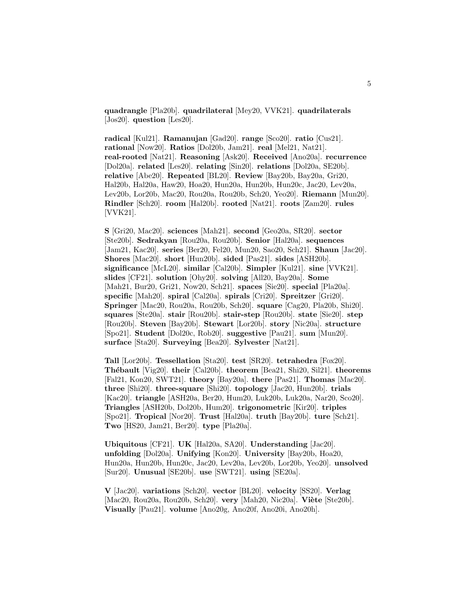**quadrangle** [Pla20b]. **quadrilateral** [Mey20, VVK21]. **quadrilaterals** [Jos20]. **question** [Les20].

**radical** [Kul21]. **Ramanujan** [Gad20]. **range** [Sco20]. **ratio** [Cus21]. **rational** [Now20]. **Ratios** [Dol20b, Jam21]. **real** [Mel21, Nat21]. **real-rooted** [Nat21]. **Reasoning** [Ask20]. **Received** [Ano20a]. **recurrence** [Dol20a]. **related** [Les20]. **relating** [Sin20]. **relations** [Dol20a, SE20b]. **relative** [Abe20]. **Repeated** [BL20]. **Review** [Bay20b, Bay20a, Gri20, Hal20b, Hal20a, Haw20, Hoa20, Hun20a, Hun20b, Hun20c, Jac20, Lev20a, Lev20b, Lor20b, Mac20, Rou20a, Rou20b, Sch20, Yeo20]. **Riemann** [Mun20]. **Rindler** [Sch20]. **room** [Hal20b]. **rooted** [Nat21]. **roots** [Zam20]. **rules** [VVK21].

**S** [Gri20, Mac20]. **sciences** [Mah21]. **second** [Geo20a, SR20]. **sector** [Ste20b]. **Sedrakyan** [Rou20a, Rou20b]. **Senior** [Hal20a]. **sequences** [Jam21, Kac20]. **series** [Ber20, Fel20, Mun20, Sao20, Sch21]. **Shaun** [Jac20]. **Shores** [Mac20]. **short** [Hun20b]. **sided** [Pas21]. **sides** [ASH20b]. **significance** [McL20]. **similar** [Cal20b]. **Simpler** [Kul21]. **sine** [VVK21]. **slides** [CF21]. **solution** [Ohy20]. **solving** [All20, Bay20a]. **Some** [Mah21, Bur20, Gri21, Now20, Sch21]. **spaces** [Sie20]. **special** [Pla20a]. **specific** [Mah20]. **spiral** [Cal20a]. **spirals** [Cri20]. **Spreitzer** [Gri20]. **Springer** [Mac20, Rou20a, Rou20b, Sch20]. **square** [Cag20, Pla20b, Shi20]. **squares** [Ste20a]. **stair** [Rou20b]. **stair-step** [Rou20b]. **state** [Sie20]. **step** [Rou20b]. **Steven** [Bay20b]. **Stewart** [Lor20b]. **story** [Nic20a]. **structure** [Spo21]. **Student** [Dol20c, Rob20]. **suggestive** [Pau21]. **sum** [Mun20]. **surface** [Sta20]. **Surveying** [Bea20]. **Sylvester** [Nat21].

**Tall** [Lor20b]. **Tessellation** [Sta20]. **test** [SR20]. **tetrahedra** [Fox20]. **Th´ebault** [Vig20]. **their** [Cal20b]. **theorem** [Bea21, Shi20, Sil21]. **theorems** [Fal21, Kon20, SWT21]. **theory** [Bay20a]. **there** [Pas21]. **Thomas** [Mac20]. **three** [Shi20]. **three-square** [Shi20]. **topology** [Jac20, Hun20b]. **trials** [Kac20]. **triangle** [ASH20a, Ber20, Hum20, Luk20b, Luk20a, Nar20, Sco20]. **Triangles** [ASH20b, Dol20b, Hum20]. **trigonometric** [Kir20]. **triples** [Spo21]. **Tropical** [Nor20]. **Trust** [Hal20a]. **truth** [Bay20b]. **ture** [Sch21]. **Two** [HS20, Jam21, Ber20]. **type** [Pla20a].

**Ubiquitous** [CF21]. **UK** [Hal20a, SA20]. **Understanding** [Jac20]. **unfolding** [Dol20a]. **Unifying** [Kon20]. **University** [Bay20b, Hoa20, Hun20a, Hun20b, Hun20c, Jac20, Lev20a, Lev20b, Lor20b, Yeo20]. **unsolved** [Sur20]. **Unusual** [SE20b]. **use** [SWT21]. **using** [SE20a].

**V** [Jac20]. **variations** [Sch20]. **vector** [BL20]. **velocity** [SS20]. **Verlag** [Mac20, Rou20a, Rou20b, Sch20]. **very** [Mah20, Nic20a]. **Viète** [Ste20b]. **Visually** [Pau21]. **volume** [Ano20g, Ano20f, Ano20i, Ano20h].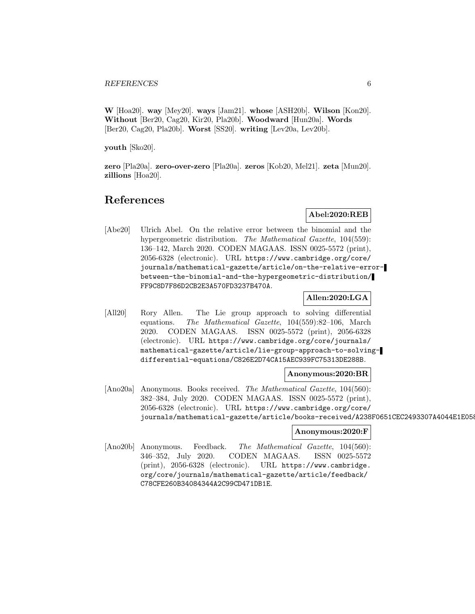**W** [Hoa20]. **way** [Mey20]. **ways** [Jam21]. **whose** [ASH20b]. **Wilson** [Kon20]. **Without** [Ber20, Cag20, Kir20, Pla20b]. **Woodward** [Hun20a]. **Words** [Ber20, Cag20, Pla20b]. **Worst** [SS20]. **writing** [Lev20a, Lev20b].

**youth** [Sko20].

**zero** [Pla20a]. **zero-over-zero** [Pla20a]. **zeros** [Kob20, Mel21]. **zeta** [Mun20]. **zillions** [Hoa20].

# **References**

# **Abel:2020:REB**

[Abe20] Ulrich Abel. On the relative error between the binomial and the hypergeometric distribution. The Mathematical Gazette, 104(559): 136–142, March 2020. CODEN MAGAAS. ISSN 0025-5572 (print), 2056-6328 (electronic). URL https://www.cambridge.org/core/ journals/mathematical-gazette/article/on-the-relative-errorbetween-the-binomial-and-the-hypergeometric-distribution/ FF9C8D7F86D2CB2E3A570FD3237B470A.

# **Allen:2020:LGA**

[All20] Rory Allen. The Lie group approach to solving differential equations. The Mathematical Gazette, 104(559):82–106, March 2020. CODEN MAGAAS. ISSN 0025-5572 (print), 2056-6328 (electronic). URL https://www.cambridge.org/core/journals/ mathematical-gazette/article/lie-group-approach-to-solvingdifferential-equations/C826E2D74CA15AEC939FC75313DE288B.

#### **Anonymous:2020:BR**

[Ano20a] Anonymous. Books received. The Mathematical Gazette, 104(560): 382–384, July 2020. CODEN MAGAAS. ISSN 0025-5572 (print), 2056-6328 (electronic). URL https://www.cambridge.org/core/ journals/mathematical-gazette/article/books-received/A238F0651CEC2493307A4044E1E058

#### **Anonymous:2020:F**

[Ano20b] Anonymous. Feedback. The Mathematical Gazette, 104(560): 346–352, July 2020. CODEN MAGAAS. ISSN 0025-5572 (print), 2056-6328 (electronic). URL https://www.cambridge. org/core/journals/mathematical-gazette/article/feedback/ C78CFE260B34084344A2C99CD471DB1E.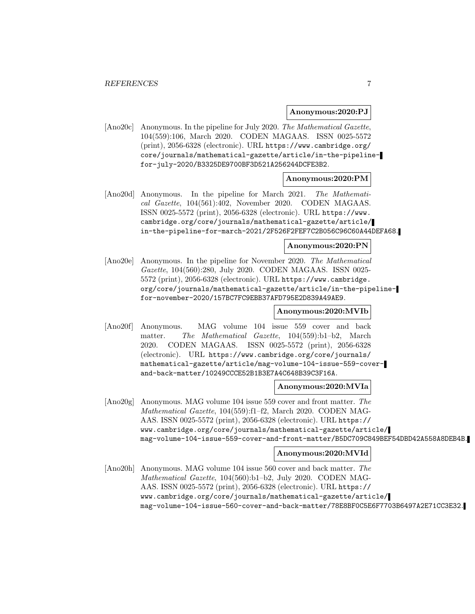#### **Anonymous:2020:PJ**

[Ano20c] Anonymous. In the pipeline for July 2020. The Mathematical Gazette, 104(559):106, March 2020. CODEN MAGAAS. ISSN 0025-5572 (print), 2056-6328 (electronic). URL https://www.cambridge.org/ core/journals/mathematical-gazette/article/in-the-pipelinefor-july-2020/B3325DE9700BF3D521A256244DCFE3B2.

#### **Anonymous:2020:PM**

[Ano20d] Anonymous. In the pipeline for March 2021. The Mathematical Gazette, 104(561):402, November 2020. CODEN MAGAAS. ISSN 0025-5572 (print), 2056-6328 (electronic). URL https://www. cambridge.org/core/journals/mathematical-gazette/article/ in-the-pipeline-for-march-2021/2F526F2FEF7C2B056C96C60A44DEFA68.

#### **Anonymous:2020:PN**

[Ano20e] Anonymous. In the pipeline for November 2020. The Mathematical Gazette, 104(560):280, July 2020. CODEN MAGAAS. ISSN 0025- 5572 (print), 2056-6328 (electronic). URL https://www.cambridge. org/core/journals/mathematical-gazette/article/in-the-pipelinefor-november-2020/157BC7FC9EBB37AFD795E2D839A49AE9.

#### **Anonymous:2020:MVIb**

[Ano20f] Anonymous. MAG volume 104 issue 559 cover and back matter. The Mathematical Gazette, 104(559):b1–b2, March 2020. CODEN MAGAAS. ISSN 0025-5572 (print), 2056-6328 (electronic). URL https://www.cambridge.org/core/journals/ mathematical-gazette/article/mag-volume-104-issue-559-coverand-back-matter/10249CCCE52B1B3E7A4C648B39C3F16A.

#### **Anonymous:2020:MVIa**

[Ano20g] Anonymous. MAG volume 104 issue 559 cover and front matter. The Mathematical Gazette, 104(559):f1–f2, March 2020. CODEN MAG-AAS. ISSN 0025-5572 (print), 2056-6328 (electronic). URL https:// www.cambridge.org/core/journals/mathematical-gazette/article/ mag-volume-104-issue-559-cover-and-front-matter/B5DC709C849BEF54DBD42A558A8DEB4B.

#### **Anonymous:2020:MVId**

[Ano20h] Anonymous. MAG volume 104 issue 560 cover and back matter. The Mathematical Gazette, 104(560):b1–b2, July 2020. CODEN MAG-AAS. ISSN 0025-5572 (print), 2056-6328 (electronic). URL https:// www.cambridge.org/core/journals/mathematical-gazette/article/ mag-volume-104-issue-560-cover-and-back-matter/78E8BF0C5E6F7703B6497A2E71CC3E32.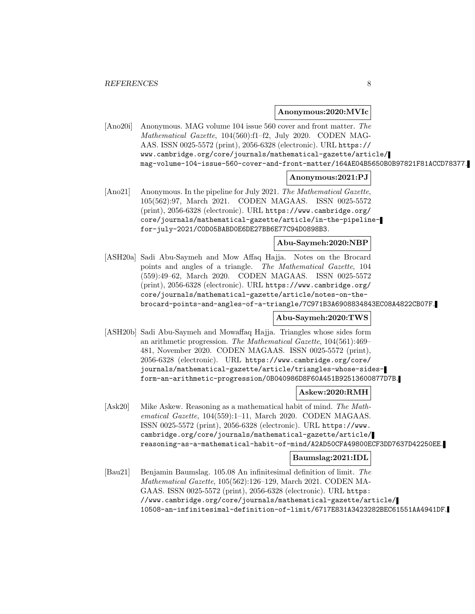**Anonymous:2020:MVIc**

[Ano20i] Anonymous. MAG volume 104 issue 560 cover and front matter. The Mathematical Gazette, 104(560):f1–f2, July 2020. CODEN MAG-AAS. ISSN 0025-5572 (print), 2056-6328 (electronic). URL https:// www.cambridge.org/core/journals/mathematical-gazette/article/ mag-volume-104-issue-560-cover-and-front-matter/164AE04B5650B0B97821F81ACCD78377.

#### **Anonymous:2021:PJ**

[Ano21] Anonymous. In the pipeline for July 2021. The Mathematical Gazette, 105(562):97, March 2021. CODEN MAGAAS. ISSN 0025-5572 (print), 2056-6328 (electronic). URL https://www.cambridge.org/ core/journals/mathematical-gazette/article/in-the-pipelinefor-july-2021/C0D05BABD0E6DE27BB6E77C94D0898B3.

### **Abu-Saymeh:2020:NBP**

[ASH20a] Sadi Abu-Saymeh and Mow Affaq Hajja. Notes on the Brocard points and angles of a triangle. The Mathematical Gazette, 104 (559):49–62, March 2020. CODEN MAGAAS. ISSN 0025-5572 (print), 2056-6328 (electronic). URL https://www.cambridge.org/ core/journals/mathematical-gazette/article/notes-on-thebrocard-points-and-angles-of-a-triangle/7C971B3A6908834843EC08A4822CB07F.

# **Abu-Saymeh:2020:TWS**

[ASH20b] Sadi Abu-Saymeh and Mowaffaq Hajja. Triangles whose sides form an arithmetic progression. The Mathematical Gazette, 104(561):469– 481, November 2020. CODEN MAGAAS. ISSN 0025-5572 (print), 2056-6328 (electronic). URL https://www.cambridge.org/core/ journals/mathematical-gazette/article/triangles-whose-sidesform-an-arithmetic-progression/0B040986D8F60A451B92513600877D7B.

# **Askew:2020:RMH**

[Ask20] Mike Askew. Reasoning as a mathematical habit of mind. The Mathematical Gazette, 104(559):1–11, March 2020. CODEN MAGAAS. ISSN 0025-5572 (print), 2056-6328 (electronic). URL https://www. cambridge.org/core/journals/mathematical-gazette/article/ reasoning-as-a-mathematical-habit-of-mind/A2AD50CFA49800ECF3DD7637D42250EE.

### **Baumslag:2021:IDL**

[Bau21] Benjamin Baumslag. 105.08 An infinitesimal definition of limit. The Mathematical Gazette, 105(562):126–129, March 2021. CODEN MA-GAAS. ISSN 0025-5572 (print), 2056-6328 (electronic). URL https: //www.cambridge.org/core/journals/mathematical-gazette/article/ 10508-an-infinitesimal-definition-of-limit/6717E831A3423282BEC61551AA4941DF.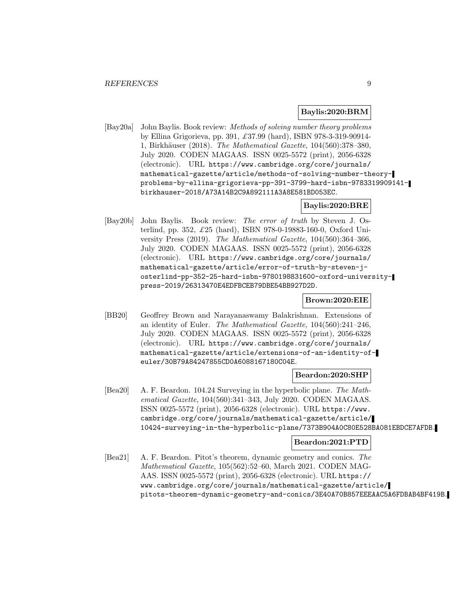#### **Baylis:2020:BRM**

[Bay20a] John Baylis. Book review: Methods of solving number theory problems by Ellina Grigorieva, pp. 391, £37.99 (hard), ISBN 978-3-319-90914- 1, Birkhäuser (2018). The Mathematical Gazette, 104(560):378–380, July 2020. CODEN MAGAAS. ISSN 0025-5572 (print), 2056-6328 (electronic). URL https://www.cambridge.org/core/journals/ mathematical-gazette/article/methods-of-solving-number-theoryproblems-by-ellina-grigorieva-pp-391-3799-hard-isbn-9783319909141 birkhauser-2018/A73A14B2C9A892111A3A8E581BD053EC.

## **Baylis:2020:BRE**

[Bay20b] John Baylis. Book review: The error of truth by Steven J. Osterlind, pp. 352, £25 (hard), ISBN 978-0-19883-160-0, Oxford University Press (2019). The Mathematical Gazette, 104(560):364–366, July 2020. CODEN MAGAAS. ISSN 0025-5572 (print), 2056-6328 (electronic). URL https://www.cambridge.org/core/journals/ mathematical-gazette/article/error-of-truth-by-steven-josterlind-pp-352-25-hard-isbn-9780198831600-oxford-universitypress-2019/26313470E4EDFBCEB79DBE54BB927D2D.

#### **Brown:2020:EIE**

[BB20] Geoffrey Brown and Narayanaswamy Balakrishnan. Extensions of an identity of Euler. The Mathematical Gazette, 104(560):241–246, July 2020. CODEN MAGAAS. ISSN 0025-5572 (print), 2056-6328 (electronic). URL https://www.cambridge.org/core/journals/ mathematical-gazette/article/extensions-of-an-identity-ofeuler/30B79A84247855CD0A6088167180C04E.

#### **Beardon:2020:SHP**

[Bea20] A. F. Beardon. 104.24 Surveying in the hyperbolic plane. The Mathematical Gazette, 104(560):341–343, July 2020. CODEN MAGAAS. ISSN 0025-5572 (print), 2056-6328 (electronic). URL https://www. cambridge.org/core/journals/mathematical-gazette/article/ 10424-surveying-in-the-hyperbolic-plane/7373B904A0C80E528BA081EBDCE7AFDB.

# **Beardon:2021:PTD**

[Bea21] A. F. Beardon. Pitot's theorem, dynamic geometry and conics. The Mathematical Gazette, 105(562):52–60, March 2021. CODEN MAG-AAS. ISSN 0025-5572 (print), 2056-6328 (electronic). URL https:// www.cambridge.org/core/journals/mathematical-gazette/article/ pitots-theorem-dynamic-geometry-and-conics/3E40A70B857EEEAAC5A6FDBAB4BF419B.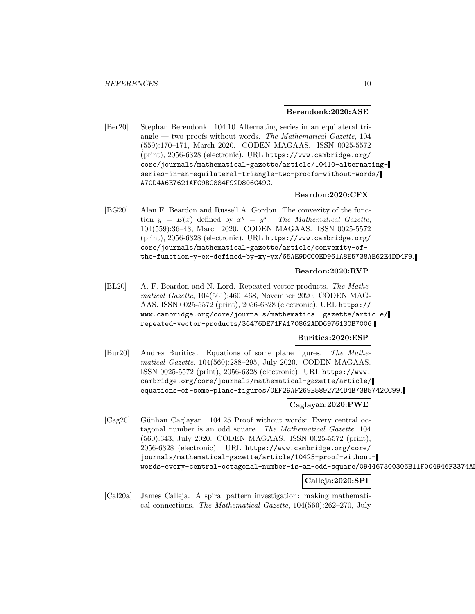#### **Berendonk:2020:ASE**

[Ber20] Stephan Berendonk. 104.10 Alternating series in an equilateral triangle — two proofs without words. The Mathematical Gazette,  $104$ (559):170–171, March 2020. CODEN MAGAAS. ISSN 0025-5572 (print), 2056-6328 (electronic). URL https://www.cambridge.org/ core/journals/mathematical-gazette/article/10410-alternatingseries-in-an-equilateral-triangle-two-proofs-without-words/ A70D4A6E7621AFC9BC884F92D806C49C.

# **Beardon:2020:CFX**

[BG20] Alan F. Beardon and Russell A. Gordon. The convexity of the function  $y = E(x)$  defined by  $x^y = y^x$ . The Mathematical Gazette, 104(559):36–43, March 2020. CODEN MAGAAS. ISSN 0025-5572 (print), 2056-6328 (electronic). URL https://www.cambridge.org/ core/journals/mathematical-gazette/article/convexity-ofthe-function-y-ex-defined-by-xy-yx/65AE9DCC0ED961A8E5738AE62E4DD4F9.

#### **Beardon:2020:RVP**

[BL20] A. F. Beardon and N. Lord. Repeated vector products. The Mathematical Gazette, 104(561):460–468, November 2020. CODEN MAG-AAS. ISSN 0025-5572 (print), 2056-6328 (electronic). URL https:// www.cambridge.org/core/journals/mathematical-gazette/article/ repeated-vector-products/36476DE71FA170862ADD6976130B7006.

### **Buritica:2020:ESP**

[Bur20] Andres Buritica. Equations of some plane figures. The Mathematical Gazette, 104(560):288–295, July 2020. CODEN MAGAAS. ISSN 0025-5572 (print), 2056-6328 (electronic). URL https://www. cambridge.org/core/journals/mathematical-gazette/article/ equations-of-some-plane-figures/0EF29AF269B5892724D4B73B5742CC99.

#### **Caglayan:2020:PWE**

[Cag20] Günhan Caglayan. 104.25 Proof without words: Every central octagonal number is an odd square. The Mathematical Gazette, 104 (560):343, July 2020. CODEN MAGAAS. ISSN 0025-5572 (print), 2056-6328 (electronic). URL https://www.cambridge.org/core/ journals/mathematical-gazette/article/10425-proof-withoutwords-every-central-octagonal-number-is-an-odd-square/094467300306B11F004946F3374AD

# **Calleja:2020:SPI**

[Cal20a] James Calleja. A spiral pattern investigation: making mathematical connections. The Mathematical Gazette, 104(560):262–270, July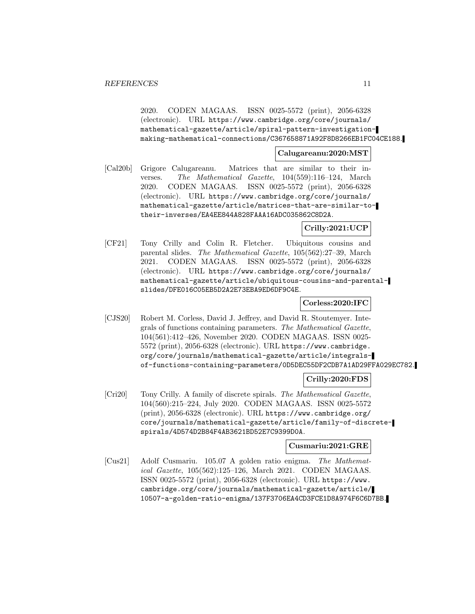2020. CODEN MAGAAS. ISSN 0025-5572 (print), 2056-6328 (electronic). URL https://www.cambridge.org/core/journals/ mathematical-gazette/article/spiral-pattern-investigationmaking-mathematical-connections/C367658871A92F8D8266EB1FC04CE188.

#### **Calugareanu:2020:MST**

[Cal20b] Grigore Calugareanu. Matrices that are similar to their inverses. The Mathematical Gazette, 104(559):116–124, March 2020. CODEN MAGAAS. ISSN 0025-5572 (print), 2056-6328 (electronic). URL https://www.cambridge.org/core/journals/ mathematical-gazette/article/matrices-that-are-similar-totheir-inverses/EA4EE844A828FAAA16ADC035862C8D2A.

# **Crilly:2021:UCP**

[CF21] Tony Crilly and Colin R. Fletcher. Ubiquitous cousins and parental slides. The Mathematical Gazette, 105(562):27–39, March 2021. CODEN MAGAAS. ISSN 0025-5572 (print), 2056-6328 (electronic). URL https://www.cambridge.org/core/journals/ mathematical-gazette/article/ubiquitous-cousins-and-parentalslides/DFE016C05EB5D2A2E73EBA9ED6DF9C4E.

# **Corless:2020:IFC**

[CJS20] Robert M. Corless, David J. Jeffrey, and David R. Stoutemyer. Integrals of functions containing parameters. The Mathematical Gazette, 104(561):412–426, November 2020. CODEN MAGAAS. ISSN 0025- 5572 (print), 2056-6328 (electronic). URL https://www.cambridge. org/core/journals/mathematical-gazette/article/integralsof-functions-containing-parameters/0D5DEC55DF2CDB7A1AD29FFA029EC782.

# **Crilly:2020:FDS**

[Cri20] Tony Crilly. A family of discrete spirals. The Mathematical Gazette, 104(560):215–224, July 2020. CODEN MAGAAS. ISSN 0025-5572 (print), 2056-6328 (electronic). URL https://www.cambridge.org/ core/journals/mathematical-gazette/article/family-of-discretespirals/4D574D2B84F4AB3621BD52E7C9399D0A.

# **Cusmariu:2021:GRE**

[Cus21] Adolf Cusmariu. 105.07 A golden ratio enigma. The Mathematical Gazette, 105(562):125–126, March 2021. CODEN MAGAAS. ISSN 0025-5572 (print), 2056-6328 (electronic). URL https://www. cambridge.org/core/journals/mathematical-gazette/article/ 10507-a-golden-ratio-enigma/137F3706EA4CD3FCE1D8A974F6C6D7BB.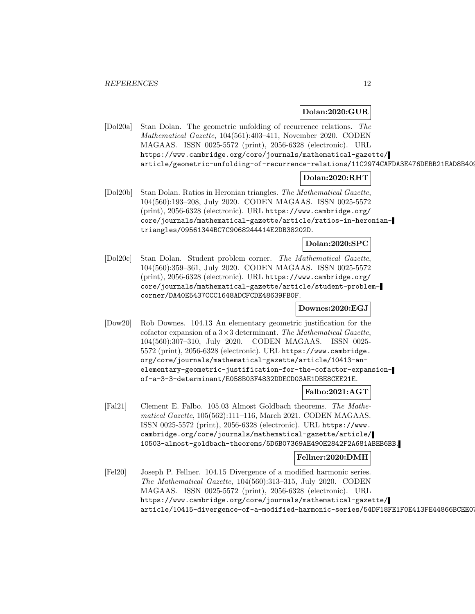#### **Dolan:2020:GUR**

[Dol20a] Stan Dolan. The geometric unfolding of recurrence relations. The Mathematical Gazette, 104(561):403–411, November 2020. CODEN MAGAAS. ISSN 0025-5572 (print), 2056-6328 (electronic). URL https://www.cambridge.org/core/journals/mathematical-gazette/ article/geometric-unfolding-of-recurrence-relations/11C2974CAFDA3E476DEBB21EAD8B409

# **Dolan:2020:RHT**

[Dol20b] Stan Dolan. Ratios in Heronian triangles. The Mathematical Gazette, 104(560):193–208, July 2020. CODEN MAGAAS. ISSN 0025-5572 (print), 2056-6328 (electronic). URL https://www.cambridge.org/ core/journals/mathematical-gazette/article/ratios-in-heroniantriangles/09561344BC7C9068244414E2DB38202D.

# **Dolan:2020:SPC**

[Dol20c] Stan Dolan. Student problem corner. The Mathematical Gazette, 104(560):359–361, July 2020. CODEN MAGAAS. ISSN 0025-5572 (print), 2056-6328 (electronic). URL https://www.cambridge.org/ core/journals/mathematical-gazette/article/student-problemcorner/DA40E5437CCC1648ADCFCDE48639FB0F.

## **Downes:2020:EGJ**

[Dow20] Rob Downes. 104.13 An elementary geometric justification for the cofactor expansion of a  $3\times3$  determinant. The Mathematical Gazette, 104(560):307–310, July 2020. CODEN MAGAAS. ISSN 0025- 5572 (print), 2056-6328 (electronic). URL https://www.cambridge. org/core/journals/mathematical-gazette/article/10413-anelementary-geometric-justification-for-the-cofactor-expansionof-a-3-3-determinant/E058B03F4832DDECD03AE1DBE8CEE21E.

#### **Falbo:2021:AGT**

[Fal21] Clement E. Falbo. 105.03 Almost Goldbach theorems. The Mathematical Gazette, 105(562):111–116, March 2021. CODEN MAGAAS. ISSN 0025-5572 (print), 2056-6328 (electronic). URL https://www. cambridge.org/core/journals/mathematical-gazette/article/ 10503-almost-goldbach-theorems/5D6B07369AE490E2842F2A681ABEB6BB.

#### **Fellner:2020:DMH**

[Fel20] Joseph P. Fellner. 104.15 Divergence of a modified harmonic series. The Mathematical Gazette, 104(560):313–315, July 2020. CODEN MAGAAS. ISSN 0025-5572 (print), 2056-6328 (electronic). URL https://www.cambridge.org/core/journals/mathematical-gazette/ article/10415-divergence-of-a-modified-harmonic-series/54DF18FE1F0E413FE44866BCEE07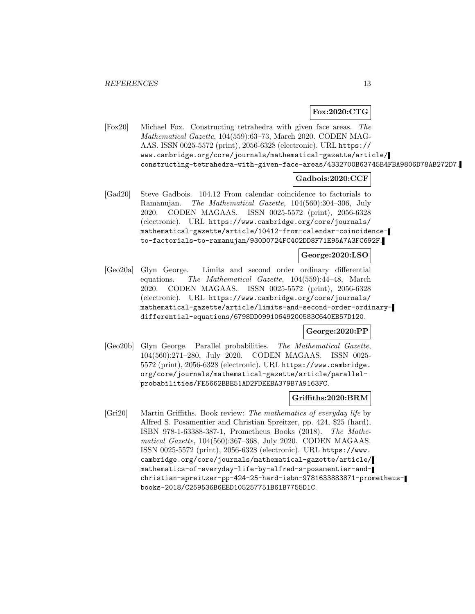# **Fox:2020:CTG**

[Fox20] Michael Fox. Constructing tetrahedra with given face areas. The Mathematical Gazette, 104(559):63–73, March 2020. CODEN MAG-AAS. ISSN 0025-5572 (print), 2056-6328 (electronic). URL https:// www.cambridge.org/core/journals/mathematical-gazette/article/ constructing-tetrahedra-with-given-face-areas/4332700B63745B4FBA9806D78AB272D7.

# **Gadbois:2020:CCF**

[Gad20] Steve Gadbois. 104.12 From calendar coincidence to factorials to Ramanujan. The Mathematical Gazette, 104(560):304–306, July 2020. CODEN MAGAAS. ISSN 0025-5572 (print), 2056-6328 (electronic). URL https://www.cambridge.org/core/journals/ mathematical-gazette/article/10412-from-calendar-coincidenceto-factorials-to-ramanujan/930D0724FC402DD8F71E95A7A3FC692F.

#### **George:2020:LSO**

[Geo20a] Glyn George. Limits and second order ordinary differential equations. The Mathematical Gazette, 104(559):44–48, March 2020. CODEN MAGAAS. ISSN 0025-5572 (print), 2056-6328 (electronic). URL https://www.cambridge.org/core/journals/ mathematical-gazette/article/limits-and-second-order-ordinarydifferential-equations/6798DD09910649200583C640EB57D120.

#### **George:2020:PP**

[Geo20b] Glyn George. Parallel probabilities. The Mathematical Gazette, 104(560):271–280, July 2020. CODEN MAGAAS. ISSN 0025- 5572 (print), 2056-6328 (electronic). URL https://www.cambridge. org/core/journals/mathematical-gazette/article/parallelprobabilities/FE5662BBE51AD2FDEEBA379B7A9163FC.

#### **Griffiths:2020:BRM**

[Gri20] Martin Griffiths. Book review: The mathematics of everyday life by Alfred S. Posamentier and Christian Spreitzer, pp. 424, \$25 (hard), ISBN 978-1-63388-387-1, Prometheus Books (2018). The Mathematical Gazette, 104(560):367–368, July 2020. CODEN MAGAAS. ISSN 0025-5572 (print), 2056-6328 (electronic). URL https://www. cambridge.org/core/journals/mathematical-gazette/article/ mathematics-of-everyday-life-by-alfred-s-posamentier-andchristian-spreitzer-pp-424-25-hard-isbn-9781633883871-prometheusbooks-2018/C259536B6EED105257751B61B7755D1C.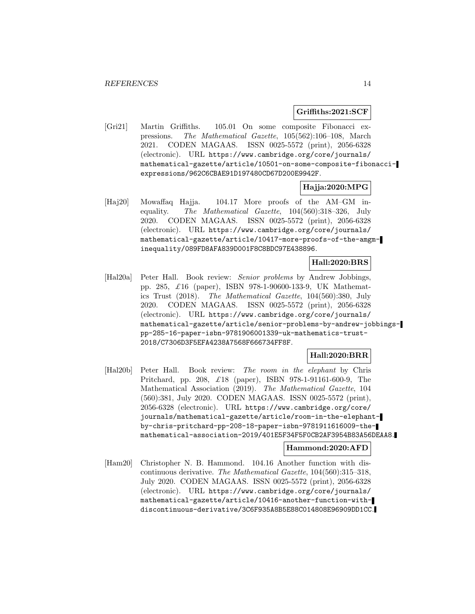#### **Griffiths:2021:SCF**

[Gri21] Martin Griffiths. 105.01 On some composite Fibonacci expressions. The Mathematical Gazette, 105(562):106–108, March 2021. CODEN MAGAAS. ISSN 0025-5572 (print), 2056-6328 (electronic). URL https://www.cambridge.org/core/journals/ mathematical-gazette/article/10501-on-some-composite-fibonacciexpressions/962C6CBAE91D197480CD67D200E9942F.

#### **Hajja:2020:MPG**

[Haj20] Mowaffaq Hajja. 104.17 More proofs of the AM–GM inequality. The Mathematical Gazette, 104(560):318–326, July 2020. CODEN MAGAAS. ISSN 0025-5572 (print), 2056-6328 (electronic). URL https://www.cambridge.org/core/journals/ mathematical-gazette/article/10417-more-proofs-of-the-amgminequality/089FD8AFA839D001F8C8BDC97E438896.

# **Hall:2020:BRS**

[Hal20a] Peter Hall. Book review: Senior problems by Andrew Jobbings, pp. 285, £16 (paper), ISBN 978-1-90600-133-9, UK Mathematics Trust (2018). The Mathematical Gazette, 104(560):380, July 2020. CODEN MAGAAS. ISSN 0025-5572 (print), 2056-6328 (electronic). URL https://www.cambridge.org/core/journals/ mathematical-gazette/article/senior-problems-by-andrew-jobbingspp-285-16-paper-isbn-9781906001339-uk-mathematics-trust-2018/C7306D3F5EFA4238A7568F666734FF8F.

#### **Hall:2020:BRR**

[Hal20b] Peter Hall. Book review: The room in the elephant by Chris Pritchard, pp. 208, £18 (paper), ISBN 978-1-91161-600-9, The Mathematical Association (2019). The Mathematical Gazette, 104 (560):381, July 2020. CODEN MAGAAS. ISSN 0025-5572 (print), 2056-6328 (electronic). URL https://www.cambridge.org/core/ journals/mathematical-gazette/article/room-in-the-elephantby-chris-pritchard-pp-208-18-paper-isbn-9781911616009-themathematical-association-2019/401E5F34F5F0CB2AF3954B83A56DEAA8.

#### **Hammond:2020:AFD**

[Ham20] Christopher N. B. Hammond. 104.16 Another function with discontinuous derivative. The Mathematical Gazette, 104(560):315–318, July 2020. CODEN MAGAAS. ISSN 0025-5572 (print), 2056-6328 (electronic). URL https://www.cambridge.org/core/journals/ mathematical-gazette/article/10416-another-function-withdiscontinuous-derivative/3C6F935A8B5E88C014808E96909DD1CC.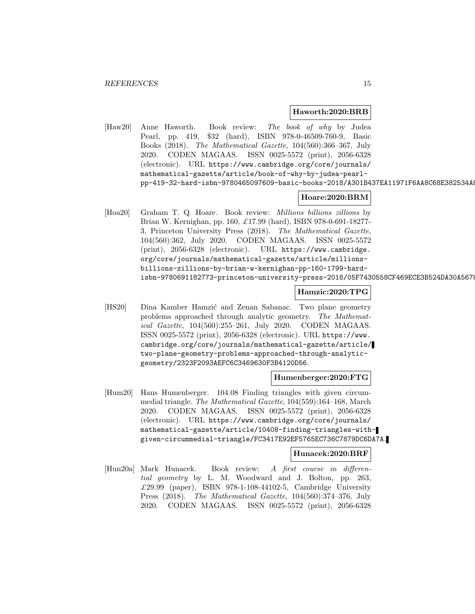#### **Haworth:2020:BRB**

[Haw20] Anne Haworth. Book review: The book of why by Judea Pearl, pp. 419, \$32 (hard), ISBN 978-0-46509-760-9, Basic Books (2018). The Mathematical Gazette, 104(560):366–367, July 2020. CODEN MAGAAS. ISSN 0025-5572 (print), 2056-6328 (electronic). URL https://www.cambridge.org/core/journals/ mathematical-gazette/article/book-of-why-by-judea-pearlpp-419-32-hard-isbn-9780465097609-basic-books-2018/A301B437EA11971F6AA8C68E382534A8

#### **Hoare:2020:BRM**

[Hoa20] Graham T. Q. Hoare. Book review: *Millions billions zillions* by Brian W. Kernighan, pp. 160, £17.99 (hard), ISBN 978-0-691-18277- 3, Princeton University Press (2018). The Mathematical Gazette, 104(560):362, July 2020. CODEN MAGAAS. ISSN 0025-5572 (print), 2056-6328 (electronic). URL https://www.cambridge. org/core/journals/mathematical-gazette/article/millionsbillions-zillions-by-brian-w-kernighan-pp-160-1799-hardisbn-9780691182773-princeton-university-press-2018/05F7430558CF469ECE3B524DA30A5678

#### **Hamzic:2020:TPG**

[HS20] Dina Kamber Hamzić and Zenan Sabanac. Two plane geometry problems approached through analytic geometry. The Mathematical Gazette, 104(560):255–261, July 2020. CODEN MAGAAS. ISSN 0025-5572 (print), 2056-6328 (electronic). URL https://www. cambridge.org/core/journals/mathematical-gazette/article/ two-plane-geometry-problems-approached-through-analyticgeometry/2323F2093AEFC6C3469630F3B4120D56.

#### **Humenberger:2020:FTG**

[Hum20] Hans Humenberger. 104.08 Finding triangles with given circummedial triangle. The Mathematical Gazette, 104(559):164–168, March 2020. CODEN MAGAAS. ISSN 0025-5572 (print), 2056-6328 (electronic). URL https://www.cambridge.org/core/journals/ mathematical-gazette/article/10408-finding-triangles-withgiven-circummedial-triangle/FC3417E92EF5765EC736C7879DC6DA7A.

#### **Hunacek:2020:BRF**

[Hun20a] Mark Hunacek. Book review: A first course in differential geometry by L. M. Woodward and J. Bolton, pp. 263, £29.99 (paper), ISBN 978-1-108-44102-5, Cambridge University Press (2018). The Mathematical Gazette, 104(560):374–376, July 2020. CODEN MAGAAS. ISSN 0025-5572 (print), 2056-6328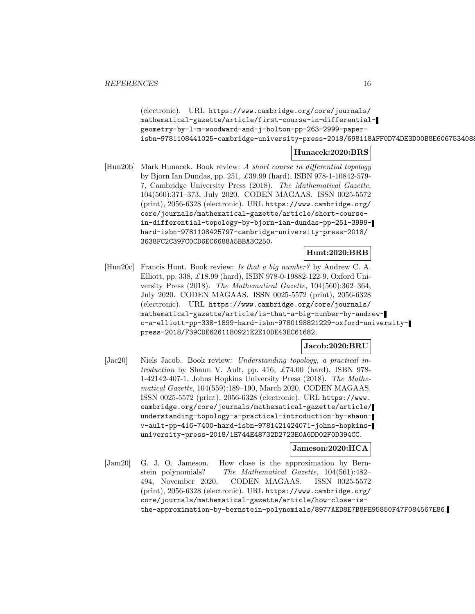(electronic). URL https://www.cambridge.org/core/journals/ mathematical-gazette/article/first-course-in-differentialgeometry-by-l-m-woodward-and-j-bolton-pp-263-2999-paperisbn-9781108441025-cambridge-university-press-2018/698118AFF0D74DE3D00B8E6067534088

# **Hunacek:2020:BRS**

[Hun20b] Mark Hunacek. Book review: A short course in differential topology by Bjorn Ian Dundas, pp. 251, £39.99 (hard), ISBN 978-1-10842-579- 7, Cambridge University Press (2018). The Mathematical Gazette, 104(560):371–373, July 2020. CODEN MAGAAS. ISSN 0025-5572 (print), 2056-6328 (electronic). URL https://www.cambridge.org/ core/journals/mathematical-gazette/article/short-coursein-differential-topology-by-bjorn-ian-dundas-pp-251-3999 hard-isbn-9781108425797-cambridge-university-press-2018/ 3638FC2C39FC0CD6EC6688A5BBA3C250.

# **Hunt:2020:BRB**

[Hun20c] Francis Hunt. Book review: Is that a big number? by Andrew C. A. Elliott, pp. 338, £18.99 (hard), ISBN 978-0-19882-122-9, Oxford University Press (2018). The Mathematical Gazette, 104(560):362–364, July 2020. CODEN MAGAAS. ISSN 0025-5572 (print), 2056-6328 (electronic). URL https://www.cambridge.org/core/journals/ mathematical-gazette/article/is-that-a-big-number-by-andrewc-a-elliott-pp-338-1899-hard-isbn-9780198821229-oxford-universitypress-2018/F39CDE62611B0921E2E10DE43EC61682.

## **Jacob:2020:BRU**

[Jac20] Niels Jacob. Book review: Understanding topology, a practical introduction by Shaun V. Ault, pp. 416,  $\pounds 74.00$  (hard), ISBN 978-1-42142-407-1, Johns Hopkins University Press (2018). The Mathematical Gazette, 104(559):189–190, March 2020. CODEN MAGAAS. ISSN 0025-5572 (print), 2056-6328 (electronic). URL https://www. cambridge.org/core/journals/mathematical-gazette/article/ understanding-topology-a-practical-introduction-by-shaunv-ault-pp-416-7400-hard-isbn-9781421424071-johns-hopkinsuniversity-press-2018/1E744E48732D2723E0A6DD02F0D394CC.

#### **Jameson:2020:HCA**

[Jam20] G. J. O. Jameson. How close is the approximation by Bernstein polynomials? The Mathematical Gazette, 104(561):482– 494, November 2020. CODEN MAGAAS. ISSN 0025-5572 (print), 2056-6328 (electronic). URL https://www.cambridge.org/ core/journals/mathematical-gazette/article/how-close-isthe-approximation-by-bernstein-polynomials/8977AED8E7B8FE95850F47F084567E86.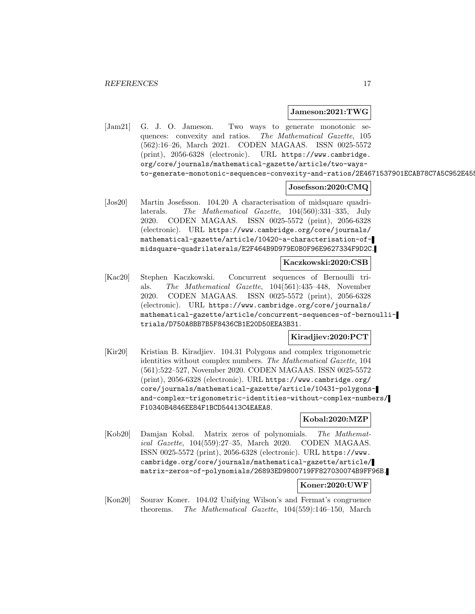#### **Jameson:2021:TWG**

[Jam21] G. J. O. Jameson. Two ways to generate monotonic sequences: convexity and ratios. The Mathematical Gazette, 105 (562):16–26, March 2021. CODEN MAGAAS. ISSN 0025-5572 (print), 2056-6328 (electronic). URL https://www.cambridge. org/core/journals/mathematical-gazette/article/two-waysto-generate-monotonic-sequences-convexity-and-ratios/2E4671537901ECAB78C7A5C952E455

#### **Josefsson:2020:CMQ**

[Jos20] Martin Josefsson. 104.20 A characterisation of midsquare quadrilaterals. The Mathematical Gazette, 104(560):331–335, July 2020. CODEN MAGAAS. ISSN 0025-5572 (print), 2056-6328 (electronic). URL https://www.cambridge.org/core/journals/ mathematical-gazette/article/10420-a-characterisation-ofmidsquare-quadrilaterals/E2F464B9D979E0B0F96E9627334F9D2C.

**Kaczkowski:2020:CSB**

[Kac20] Stephen Kaczkowski. Concurrent sequences of Bernoulli trials. The Mathematical Gazette, 104(561):435–448, November 2020. CODEN MAGAAS. ISSN 0025-5572 (print), 2056-6328 (electronic). URL https://www.cambridge.org/core/journals/ mathematical-gazette/article/concurrent-sequences-of-bernoullitrials/D750A8BB7B5F8436CB1E20D50EEA3B31.

**Kiradjiev:2020:PCT**

[Kir20] Kristian B. Kiradjiev. 104.31 Polygons and complex trigonometric identities without complex numbers. The Mathematical Gazette, 104 (561):522–527, November 2020. CODEN MAGAAS. ISSN 0025-5572 (print), 2056-6328 (electronic). URL https://www.cambridge.org/ core/journals/mathematical-gazette/article/10431-polygonsand-complex-trigonometric-identities-without-complex-numbers/ F10340B4846EE84F1BCD54413C4EAEA8.

#### **Kobal:2020:MZP**

[Kob20] Damjan Kobal. Matrix zeros of polynomials. The Mathematical Gazette, 104(559):27–35, March 2020. CODEN MAGAAS. ISSN 0025-5572 (print), 2056-6328 (electronic). URL https://www. cambridge.org/core/journals/mathematical-gazette/article/ matrix-zeros-of-polynomials/26893ED9800719FF827030074B9FF96B.

#### **Koner:2020:UWF**

[Kon20] Sourav Koner. 104.02 Unifying Wilson's and Fermat's congruence theorems. The Mathematical Gazette, 104(559):146–150, March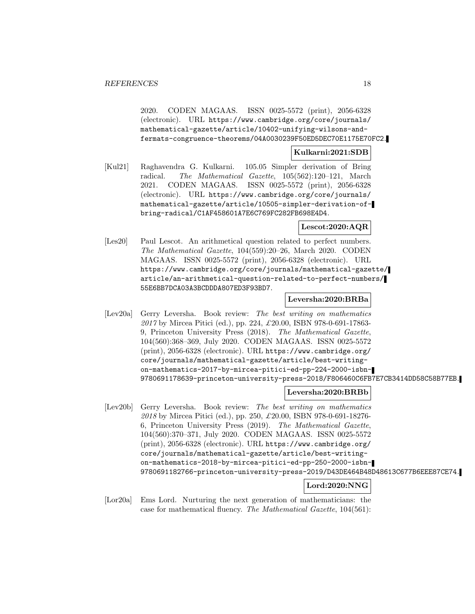2020. CODEN MAGAAS. ISSN 0025-5572 (print), 2056-6328 (electronic). URL https://www.cambridge.org/core/journals/ mathematical-gazette/article/10402-unifying-wilsons-andfermats-congruence-theorems/04A0030239F50ED5DEC70E1175E70FC2.

# **Kulkarni:2021:SDB**

[Kul21] Raghavendra G. Kulkarni. 105.05 Simpler derivation of Bring radical. The Mathematical Gazette, 105(562):120–121, March 2021. CODEN MAGAAS. ISSN 0025-5572 (print), 2056-6328 (electronic). URL https://www.cambridge.org/core/journals/ mathematical-gazette/article/10505-simpler-derivation-ofbring-radical/C1AF458601A7E6C769FC282FB698E4D4.

#### **Lescot:2020:AQR**

[Les20] Paul Lescot. An arithmetical question related to perfect numbers. The Mathematical Gazette, 104(559):20–26, March 2020. CODEN MAGAAS. ISSN 0025-5572 (print), 2056-6328 (electronic). URL https://www.cambridge.org/core/journals/mathematical-gazette/ article/an-arithmetical-question-related-to-perfect-numbers/ 55E6BB7DCA03A3BCDDDA807ED3F93BD7.

# **Leversha:2020:BRBa**

[Lev20a] Gerry Leversha. Book review: The best writing on mathematics 2017 by Mircea Pitici (ed.), pp. 224, £20.00, ISBN 978-0-691-17863- 9, Princeton University Press (2018). The Mathematical Gazette, 104(560):368–369, July 2020. CODEN MAGAAS. ISSN 0025-5572 (print), 2056-6328 (electronic). URL https://www.cambridge.org/ core/journals/mathematical-gazette/article/best-writingon-mathematics-2017-by-mircea-pitici-ed-pp-224-2000-isbn-9780691178639-princeton-university-press-2018/F806460C6FB7E7CB3414DD58C58B77EB.

#### **Leversha:2020:BRBb**

[Lev20b] Gerry Leversha. Book review: The best writing on mathematics 2018 by Mircea Pitici (ed.), pp. 250, £20.00, ISBN 978-0-691-18276- 6, Princeton University Press (2019). The Mathematical Gazette, 104(560):370–371, July 2020. CODEN MAGAAS. ISSN 0025-5572 (print), 2056-6328 (electronic). URL https://www.cambridge.org/ core/journals/mathematical-gazette/article/best-writingon-mathematics-2018-by-mircea-pitici-ed-pp-250-2000-isbn-9780691182766-princeton-university-press-2019/D43DE464B48D48613C677B6EEE87CE74.

# **Lord:2020:NNG**

[Lor20a] Ems Lord. Nurturing the next generation of mathematicians: the case for mathematical fluency. The Mathematical Gazette, 104(561):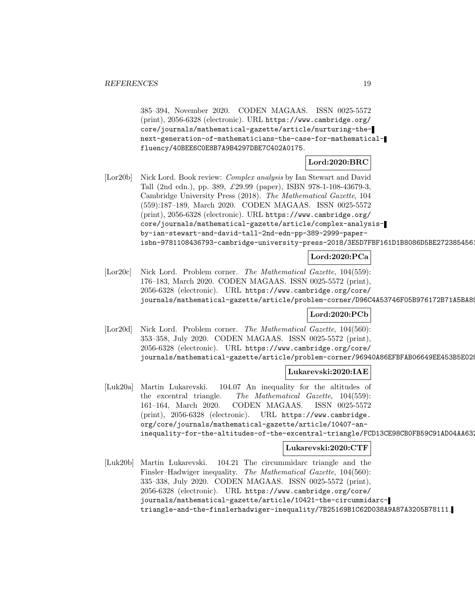385–394, November 2020. CODEN MAGAAS. ISSN 0025-5572 (print), 2056-6328 (electronic). URL https://www.cambridge.org/ core/journals/mathematical-gazette/article/nurturing-thenext-generation-of-mathematicians-the-case-for-mathematicalfluency/40BEE6C0E8B7A9B4297DBE7C402A0175.

**Lord:2020:BRC**

[Lor20b] Nick Lord. Book review: Complex analysis by Ian Stewart and David Tall (2nd edn.), pp. 389, £29.99 (paper), ISBN 978-1-108-43679-3, Cambridge University Press (2018). The Mathematical Gazette, 104 (559):187–189, March 2020. CODEN MAGAAS. ISSN 0025-5572 (print), 2056-6328 (electronic). URL https://www.cambridge.org/ core/journals/mathematical-gazette/article/complex-analysisby-ian-stewart-and-david-tall-2nd-edn-pp-389-2999-paperisbn-9781108436793-cambridge-university-press-2018/3E5D7FBF161D1B8086D5BE2723854561

# **Lord:2020:PCa**

[Lor20c] Nick Lord. Problem corner. The Mathematical Gazette, 104(559): 176–183, March 2020. CODEN MAGAAS. ISSN 0025-5572 (print), 2056-6328 (electronic). URL https://www.cambridge.org/core/ journals/mathematical-gazette/article/problem-corner/D96C4A53746F05B976172B71A5BA89

# **Lord:2020:PCb**

[Lor20d] Nick Lord. Problem corner. The Mathematical Gazette, 104(560): 353–358, July 2020. CODEN MAGAAS. ISSN 0025-5572 (print), 2056-6328 (electronic). URL https://www.cambridge.org/core/ journals/mathematical-gazette/article/problem-corner/96940A86EFBFAB06649EE453B5E028

#### **Lukarevski:2020:IAE**

[Luk20a] Martin Lukarevski. 104.07 An inequality for the altitudes of the excentral triangle. The Mathematical Gazette, 104(559): 161–164, March 2020. CODEN MAGAAS. ISSN 0025-5572 (print), 2056-6328 (electronic). URL https://www.cambridge. org/core/journals/mathematical-gazette/article/10407-aninequality-for-the-altitudes-of-the-excentral-triangle/FCD13CE98CB0FB59C91AD04AA632

#### **Lukarevski:2020:CTF**

[Luk20b] Martin Lukarevski. 104.21 The circummidarc triangle and the Finsler–Hadwiger inequality. The Mathematical Gazette, 104(560): 335–338, July 2020. CODEN MAGAAS. ISSN 0025-5572 (print), 2056-6328 (electronic). URL https://www.cambridge.org/core/ journals/mathematical-gazette/article/10421-the-circummidarctriangle-and-the-finslerhadwiger-inequality/7B25169B1C62D038A9A87A3205B78111.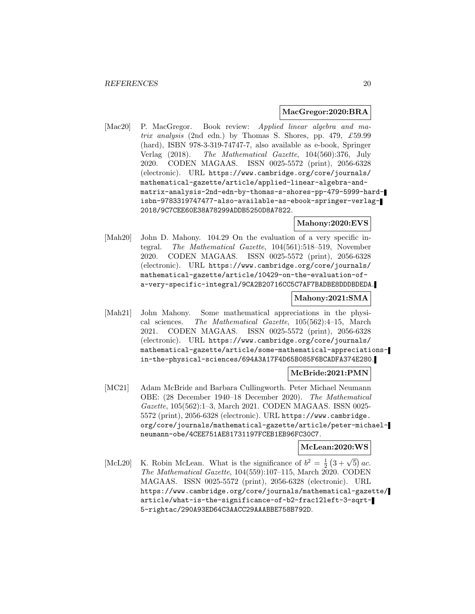#### **MacGregor:2020:BRA**

[Mac20] P. MacGregor. Book review: Applied linear algebra and matrix analysis (2nd edn.) by Thomas S. Shores, pp. 479,  $\pounds$ 59.99 (hard), ISBN 978-3-319-74747-7, also available as e-book, Springer Verlag (2018). The Mathematical Gazette, 104(560):376, July 2020. CODEN MAGAAS. ISSN 0025-5572 (print), 2056-6328 (electronic). URL https://www.cambridge.org/core/journals/ mathematical-gazette/article/applied-linear-algebra-andmatrix-analysis-2nd-edn-by-thomas-s-shores-pp-479-5999-hardisbn-9783319747477-also-available-as-ebook-springer-verlag-2018/9C7CEE60E38A78299ADDB5250D8A7822.

#### **Mahony:2020:EVS**

[Mah20] John D. Mahony. 104.29 On the evaluation of a very specific integral. The Mathematical Gazette, 104(561):518–519, November 2020. CODEN MAGAAS. ISSN 0025-5572 (print), 2056-6328 (electronic). URL https://www.cambridge.org/core/journals/ mathematical-gazette/article/10429-on-the-evaluation-ofa-very-specific-integral/9CA2B20716CC5C7AF7BADBE8DDDBDEDA.

#### **Mahony:2021:SMA**

[Mah21] John Mahony. Some mathematical appreciations in the physical sciences. The Mathematical Gazette, 105(562):4–15, March 2021. CODEN MAGAAS. ISSN 0025-5572 (print), 2056-6328 (electronic). URL https://www.cambridge.org/core/journals/ mathematical-gazette/article/some-mathematical-appreciationsin-the-physical-sciences/694A3A17F4D65B085F6BCADFA374E280.

#### **McBride:2021:PMN**

[MC21] Adam McBride and Barbara Cullingworth. Peter Michael Neumann OBE: (28 December 1940–18 December 2020). The Mathematical Gazette, 105(562):1–3, March 2021. CODEN MAGAAS. ISSN 0025- 5572 (print), 2056-6328 (electronic). URL https://www.cambridge. org/core/journals/mathematical-gazette/article/peter-michaelneumann-obe/4CEE751AE81731197FCEB1EB96FC30C7.

# **McLean:2020:WS**

[McL20] K. Robin McLean. What is the significance of  $b^2 = \frac{1}{2}(3+\sqrt{5})ac$ . The Mathematical Gazette, 104(559):107–115, March 2020. CODEN MAGAAS. ISSN 0025-5572 (print), 2056-6328 (electronic). URL https://www.cambridge.org/core/journals/mathematical-gazette/ article/what-is-the-significance-of-b2-frac12left-3-sqrt-5-rightac/290A93ED64C3AACC29AAABBE758B792D.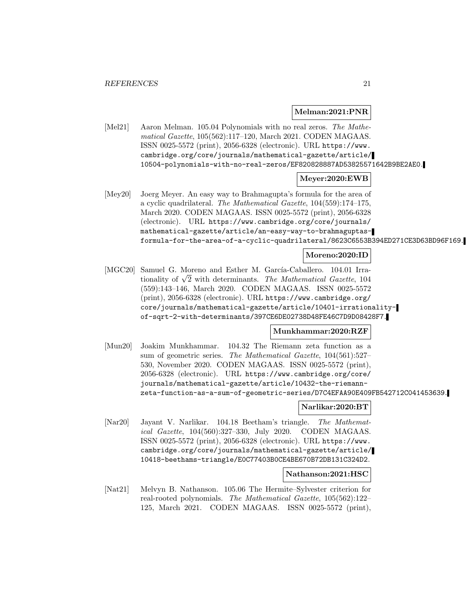#### **Melman:2021:PNR**

[Mel21] Aaron Melman. 105.04 Polynomials with no real zeros. The Mathematical Gazette, 105(562):117–120, March 2021. CODEN MAGAAS. ISSN 0025-5572 (print), 2056-6328 (electronic). URL https://www. cambridge.org/core/journals/mathematical-gazette/article/ 10504-polynomials-with-no-real-zeros/EF820828887AD53825571642B9BE2AE0.

# **Meyer:2020:EWB**

[Mey20] Joerg Meyer. An easy way to Brahmagupta's formula for the area of a cyclic quadrilateral. The Mathematical Gazette, 104(559):174–175, March 2020. CODEN MAGAAS. ISSN 0025-5572 (print), 2056-6328 (electronic). URL https://www.cambridge.org/core/journals/ mathematical-gazette/article/an-easy-way-to-brahmaguptasformula-for-the-area-of-a-cyclic-quadrilateral/8623C6553B394ED271CE3D63BD96F169.

# **Moreno:2020:ID**

[MGC20] Samuel G. Moreno and Esther M. García-Caballero. 104.01 Irrationality of  $\sqrt{2}$  with determinants. The Mathematical Gazette, 104 (559):143–146, March 2020. CODEN MAGAAS. ISSN 0025-5572 (print), 2056-6328 (electronic). URL https://www.cambridge.org/ core/journals/mathematical-gazette/article/10401-irrationalityof-sqrt-2-with-determinants/397CE6DE02738D48FE46C7D9D08428F7.

#### **Munkhammar:2020:RZF**

[Mun20] Joakim Munkhammar. 104.32 The Riemann zeta function as a sum of geometric series. The Mathematical Gazette,  $104(561):527-$ 530, November 2020. CODEN MAGAAS. ISSN 0025-5572 (print), 2056-6328 (electronic). URL https://www.cambridge.org/core/ journals/mathematical-gazette/article/10432-the-riemannzeta-function-as-a-sum-of-geometric-series/D7C4EFAA90E409FB542712C041453639.

#### **Narlikar:2020:BT**

[Nar20] Jayant V. Narlikar. 104.18 Beetham's triangle. The Mathematical Gazette, 104(560):327–330, July 2020. CODEN MAGAAS. ISSN 0025-5572 (print), 2056-6328 (electronic). URL https://www. cambridge.org/core/journals/mathematical-gazette/article/ 10418-beethams-triangle/E0C77403B0CE4BE670B72DB131C324D2.

#### **Nathanson:2021:HSC**

[Nat21] Melvyn B. Nathanson. 105.06 The Hermite–Sylvester criterion for real-rooted polynomials. The Mathematical Gazette, 105(562):122– 125, March 2021. CODEN MAGAAS. ISSN 0025-5572 (print),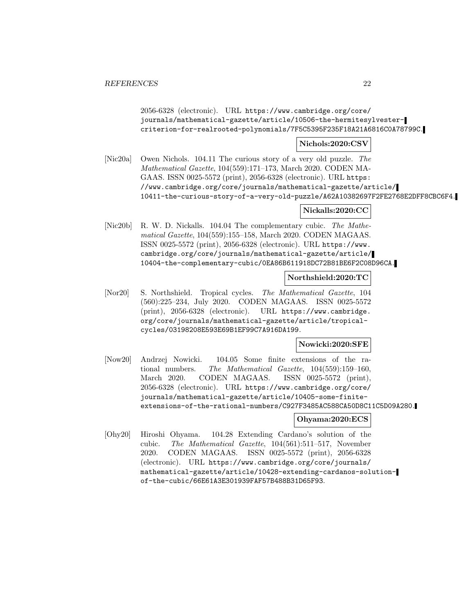2056-6328 (electronic). URL https://www.cambridge.org/core/ journals/mathematical-gazette/article/10506-the-hermitesylvestercriterion-for-realrooted-polynomials/7F5C5395F235F18A21A6816C0A78799C.

# **Nichols:2020:CSV**

[Nic20a] Owen Nichols. 104.11 The curious story of a very old puzzle. The Mathematical Gazette, 104(559):171–173, March 2020. CODEN MA-GAAS. ISSN 0025-5572 (print), 2056-6328 (electronic). URL https: //www.cambridge.org/core/journals/mathematical-gazette/article/ 10411-the-curious-story-of-a-very-old-puzzle/A62A10382697F2FE2768E2DFF8CBC6F4.

# **Nickalls:2020:CC**

[Nic20b] R. W. D. Nickalls. 104.04 The complementary cubic. The Mathematical Gazette, 104(559):155–158, March 2020. CODEN MAGAAS. ISSN 0025-5572 (print), 2056-6328 (electronic). URL https://www. cambridge.org/core/journals/mathematical-gazette/article/ 10404-the-complementary-cubic/0EA86B611918DC72B81BE6F2C08D96CA.

# **Northshield:2020:TC**

[Nor20] S. Northshield. Tropical cycles. The Mathematical Gazette, 104 (560):225–234, July 2020. CODEN MAGAAS. ISSN 0025-5572 (print), 2056-6328 (electronic). URL https://www.cambridge. org/core/journals/mathematical-gazette/article/tropicalcycles/03198208E593E69B1EF99C7A916DA199.

# **Nowicki:2020:SFE**

[Now20] Andrzej Nowicki. 104.05 Some finite extensions of the rational numbers. The Mathematical Gazette, 104(559):159–160, March 2020. CODEN MAGAAS. ISSN 0025-5572 (print), 2056-6328 (electronic). URL https://www.cambridge.org/core/ journals/mathematical-gazette/article/10405-some-finiteextensions-of-the-rational-numbers/C927F3485AC588CA50D8C11C5D09A280.

#### **Ohyama:2020:ECS**

[Ohy20] Hiroshi Ohyama. 104.28 Extending Cardano's solution of the cubic. The Mathematical Gazette, 104(561):511–517, November 2020. CODEN MAGAAS. ISSN 0025-5572 (print), 2056-6328 (electronic). URL https://www.cambridge.org/core/journals/ mathematical-gazette/article/10428-extending-cardanos-solutionof-the-cubic/66E61A3E301939FAF57B488B31D65F93.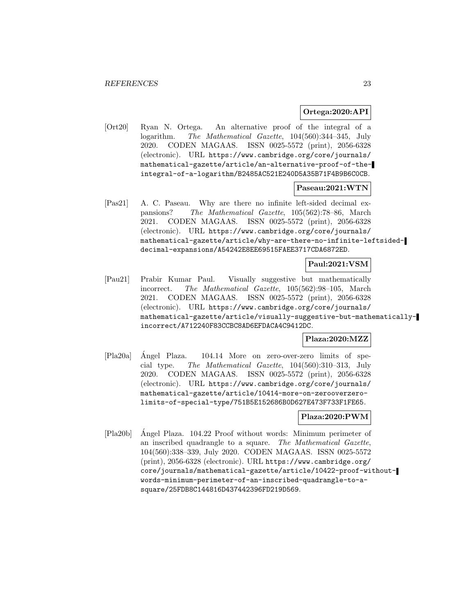#### **Ortega:2020:API**

[Ort20] Ryan N. Ortega. An alternative proof of the integral of a logarithm. The Mathematical Gazette, 104(560):344–345, July 2020. CODEN MAGAAS. ISSN 0025-5572 (print), 2056-6328 (electronic). URL https://www.cambridge.org/core/journals/ mathematical-gazette/article/an-alternative-proof-of-theintegral-of-a-logarithm/B2485AC521E240D5A35B71F4B9B6C0CB.

#### **Paseau:2021:WTN**

[Pas21] A. C. Paseau. Why are there no infinite left-sided decimal expansions? The Mathematical Gazette, 105(562):78–86, March 2021. CODEN MAGAAS. ISSN 0025-5572 (print), 2056-6328 (electronic). URL https://www.cambridge.org/core/journals/ mathematical-gazette/article/why-are-there-no-infinite-leftsideddecimal-expansions/A54242E8EE69515FAEE3717CDA6872ED.

# **Paul:2021:VSM**

[Pau21] Prabir Kumar Paul. Visually suggestive but mathematically incorrect. The Mathematical Gazette, 105(562):98–105, March 2021. CODEN MAGAAS. ISSN 0025-5572 (print), 2056-6328 (electronic). URL https://www.cambridge.org/core/journals/ mathematical-gazette/article/visually-suggestive-but-mathematicallyincorrect/A712240F83CCBC8AD6EFDACA4C9412DC.

# **Plaza:2020:MZZ**

[Pla20a] Angel Plaza. 104.14 More on zero-over-zero limits of spe- ´ cial type. The Mathematical Gazette, 104(560):310–313, July 2020. CODEN MAGAAS. ISSN 0025-5572 (print), 2056-6328 (electronic). URL https://www.cambridge.org/core/journals/ mathematical-gazette/article/10414-more-on-zerooverzerolimits-of-special-type/751B5E152686B0D627E473F733F1FE65.

# **Plaza:2020:PWM**

[Pla20b] Angel Plaza. 104.22 Proof without words: Minimum perimeter of ´ an inscribed quadrangle to a square. The Mathematical Gazette, 104(560):338–339, July 2020. CODEN MAGAAS. ISSN 0025-5572 (print), 2056-6328 (electronic). URL https://www.cambridge.org/ core/journals/mathematical-gazette/article/10422-proof-withoutwords-minimum-perimeter-of-an-inscribed-quadrangle-to-asquare/25FDB8C144816D437442396FD219D569.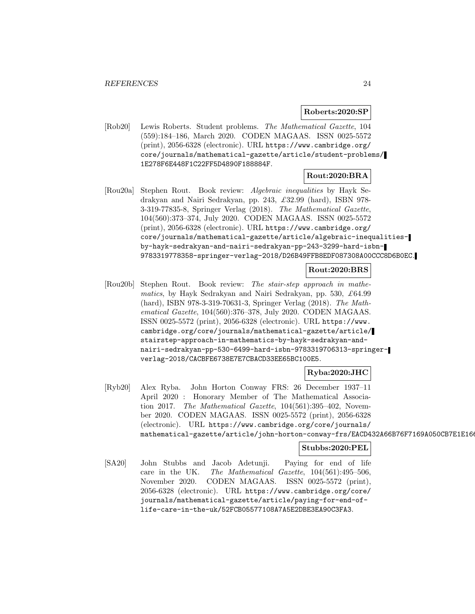#### **Roberts:2020:SP**

[Rob20] Lewis Roberts. Student problems. The Mathematical Gazette, 104 (559):184–186, March 2020. CODEN MAGAAS. ISSN 0025-5572 (print), 2056-6328 (electronic). URL https://www.cambridge.org/ core/journals/mathematical-gazette/article/student-problems/ 1E278F6E448F1C22FF5D4890F188884F.

#### **Rout:2020:BRA**

[Rou20a] Stephen Rout. Book review: Algebraic inequalities by Hayk Sedrakyan and Nairi Sedrakyan, pp. 243, £32.99 (hard), ISBN 978- 3-319-77835-8, Springer Verlag (2018). The Mathematical Gazette, 104(560):373–374, July 2020. CODEN MAGAAS. ISSN 0025-5572 (print), 2056-6328 (electronic). URL https://www.cambridge.org/ core/journals/mathematical-gazette/article/algebraic-inequalitiesby-hayk-sedrakyan-and-nairi-sedrakyan-pp-243-3299-hard-isbn-9783319778358-springer-verlag-2018/D26B49FFB8EDF087308A00CCC8D6B0EC.

#### **Rout:2020:BRS**

[Rou20b] Stephen Rout. Book review: The stair-step approach in mathematics, by Hayk Sedrakyan and Nairi Sedrakyan, pp. 530,  $\pounds 64.99$ (hard), ISBN 978-3-319-70631-3, Springer Verlag (2018). The Mathematical Gazette, 104(560):376–378, July 2020. CODEN MAGAAS. ISSN 0025-5572 (print), 2056-6328 (electronic). URL https://www. cambridge.org/core/journals/mathematical-gazette/article/ stairstep-approach-in-mathematics-by-hayk-sedrakyan-andnairi-sedrakyan-pp-530-6499-hard-isbn-9783319706313-springerverlag-2018/CACBFE6738E7E7CBACD33EE65BC100E5.

#### **Ryba:2020:JHC**

[Ryb20] Alex Ryba. John Horton Conway FRS: 26 December 1937–11 April 2020 : Honorary Member of The Mathematical Association 2017. The Mathematical Gazette, 104(561):395–402, November 2020. CODEN MAGAAS. ISSN 0025-5572 (print), 2056-6328 (electronic). URL https://www.cambridge.org/core/journals/ mathematical-gazette/article/john-horton-conway-frs/EACD432A66B76F7169A050CB7E1E166

#### **Stubbs:2020:PEL**

[SA20] John Stubbs and Jacob Adetunji. Paying for end of life care in the UK. The Mathematical Gazette, 104(561):495–506, November 2020. CODEN MAGAAS. ISSN 0025-5572 (print), 2056-6328 (electronic). URL https://www.cambridge.org/core/ journals/mathematical-gazette/article/paying-for-end-oflife-care-in-the-uk/52FCB05577108A7A5E2DBE3EA90C3FA3.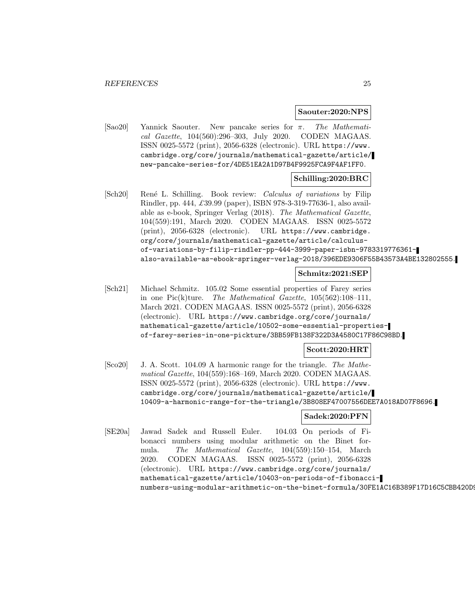#### **Saouter:2020:NPS**

[Sao20] Yannick Saouter. New pancake series for π. The Mathematical Gazette, 104(560):296–303, July 2020. CODEN MAGAAS. ISSN 0025-5572 (print), 2056-6328 (electronic). URL https://www. cambridge.org/core/journals/mathematical-gazette/article/ new-pancake-series-for/4DE51EA2A1D97B4F9925FCA9F4AF1FF0.

#### **Schilling:2020:BRC**

[Sch20] René L. Schilling. Book review: *Calculus of variations* by Filip Rindler, pp. 444, £39.99 (paper), ISBN 978-3-319-77636-1, also available as e-book, Springer Verlag (2018). The Mathematical Gazette, 104(559):191, March 2020. CODEN MAGAAS. ISSN 0025-5572 (print), 2056-6328 (electronic). URL https://www.cambridge. org/core/journals/mathematical-gazette/article/calculusof-variations-by-filip-rindler-pp-444-3999-paper-isbn-9783319776361 also-available-as-ebook-springer-verlag-2018/396EDE9306F55B43573A4BE132802555.

#### **Schmitz:2021:SEP**

[Sch21] Michael Schmitz. 105.02 Some essential properties of Farey series in one Pic(k)ture. The Mathematical Gazette,  $105(562):108-111$ , March 2021. CODEN MAGAAS. ISSN 0025-5572 (print), 2056-6328 (electronic). URL https://www.cambridge.org/core/journals/ mathematical-gazette/article/10502-some-essential-propertiesof-farey-series-in-one-pickture/3BB59FB138F322D3A4580C17F86C98BD.

#### **Scott:2020:HRT**

[Sco20] J. A. Scott. 104.09 A harmonic range for the triangle. The Mathematical Gazette, 104(559):168–169, March 2020. CODEN MAGAAS. ISSN 0025-5572 (print), 2056-6328 (electronic). URL https://www. cambridge.org/core/journals/mathematical-gazette/article/ 10409-a-harmonic-range-for-the-triangle/3B808EF47007556DEE7A018AD07F8696.

#### **Sadek:2020:PFN**

[SE20a] Jawad Sadek and Russell Euler. 104.03 On periods of Fibonacci numbers using modular arithmetic on the Binet formula. The Mathematical Gazette, 104(559):150–154, March 2020. CODEN MAGAAS. ISSN 0025-5572 (print), 2056-6328 (electronic). URL https://www.cambridge.org/core/journals/ mathematical-gazette/article/10403-on-periods-of-fibonaccinumbers-using-modular-arithmetic-on-the-binet-formula/30FE1AC16B389F17D16C5CBB420D9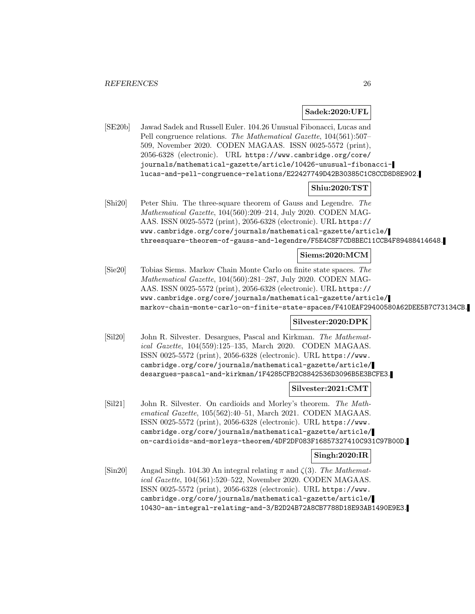## **Sadek:2020:UFL**

[SE20b] Jawad Sadek and Russell Euler. 104.26 Unusual Fibonacci, Lucas and Pell congruence relations. The Mathematical Gazette, 104(561):507– 509, November 2020. CODEN MAGAAS. ISSN 0025-5572 (print), 2056-6328 (electronic). URL https://www.cambridge.org/core/ journals/mathematical-gazette/article/10426-unusual-fibonaccilucas-and-pell-congruence-relations/E22427749D42B30385C1C8CCD8D8E902.

#### **Shiu:2020:TST**

[Shi20] Peter Shiu. The three-square theorem of Gauss and Legendre. The Mathematical Gazette, 104(560):209–214, July 2020. CODEN MAG-AAS. ISSN 0025-5572 (print), 2056-6328 (electronic). URL https:// www.cambridge.org/core/journals/mathematical-gazette/article/ threesquare-theorem-of-gauss-and-legendre/F5E4C8F7CD8BEC11CCB4F89488414648.

#### **Siems:2020:MCM**

[Sie20] Tobias Siems. Markov Chain Monte Carlo on finite state spaces. The Mathematical Gazette, 104(560):281–287, July 2020. CODEN MAG-AAS. ISSN 0025-5572 (print), 2056-6328 (electronic). URL https:// www.cambridge.org/core/journals/mathematical-gazette/article/ markov-chain-monte-carlo-on-finite-state-spaces/F410EAF29400580A62DEE5B7C73134CB.

# **Silvester:2020:DPK**

[Sil20] John R. Silvester. Desargues, Pascal and Kirkman. The Mathematical Gazette, 104(559):125–135, March 2020. CODEN MAGAAS. ISSN 0025-5572 (print), 2056-6328 (electronic). URL https://www. cambridge.org/core/journals/mathematical-gazette/article/ desargues-pascal-and-kirkman/1F4285CFB2C8842536D3096B5E3BCFE3.

#### **Silvester:2021:CMT**

[Sil21] John R. Silvester. On cardioids and Morley's theorem. The Mathematical Gazette, 105(562):40–51, March 2021. CODEN MAGAAS. ISSN 0025-5572 (print), 2056-6328 (electronic). URL https://www. cambridge.org/core/journals/mathematical-gazette/article/ on-cardioids-and-morleys-theorem/4DF2DF083F16857327410C931C97B00D.

#### **Singh:2020:IR**

[Sin20] Angad Singh. 104.30 An integral relating  $\pi$  and  $\zeta(3)$ . The Mathematical Gazette, 104(561):520–522, November 2020. CODEN MAGAAS. ISSN 0025-5572 (print), 2056-6328 (electronic). URL https://www. cambridge.org/core/journals/mathematical-gazette/article/ 10430-an-integral-relating-and-3/B2D24B72A8CB7788D18E93AB1490E9E3.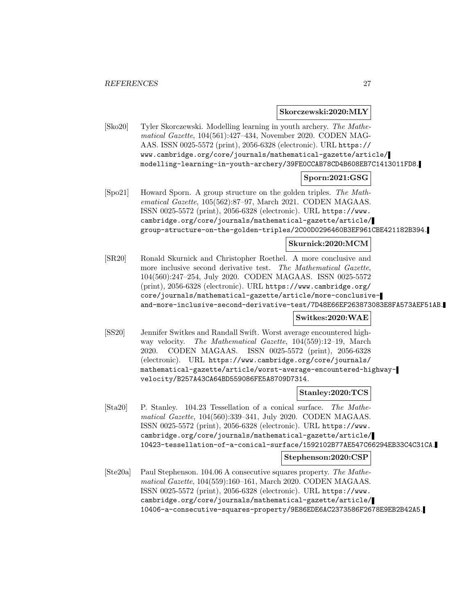**Skorczewski:2020:MLY**

[Sko20] Tyler Skorczewski. Modelling learning in youth archery. The Mathematical Gazette, 104(561):427–434, November 2020. CODEN MAG-AAS. ISSN 0025-5572 (print), 2056-6328 (electronic). URL https:// www.cambridge.org/core/journals/mathematical-gazette/article/ modelling-learning-in-youth-archery/39FE0CCAB78CD4B608EB7C1413011FD8.

# **Sporn:2021:GSG**

[Spo21] Howard Sporn. A group structure on the golden triples. The Mathematical Gazette, 105(562):87–97, March 2021. CODEN MAGAAS. ISSN 0025-5572 (print), 2056-6328 (electronic). URL https://www. cambridge.org/core/journals/mathematical-gazette/article/ group-structure-on-the-golden-triples/2C00D0296460B3EF961CBE421182B394.

## **Skurnick:2020:MCM**

[SR20] Ronald Skurnick and Christopher Roethel. A more conclusive and more inclusive second derivative test. The Mathematical Gazette, 104(560):247–254, July 2020. CODEN MAGAAS. ISSN 0025-5572 (print), 2056-6328 (electronic). URL https://www.cambridge.org/ core/journals/mathematical-gazette/article/more-conclusiveand-more-inclusive-second-derivative-test/7D48E66EF263873083E8FA573AEF51AB.

# **Switkes:2020:WAE**

[SS20] Jennifer Switkes and Randall Swift. Worst average encountered highway velocity. The Mathematical Gazette, 104(559):12–19, March 2020. CODEN MAGAAS. ISSN 0025-5572 (print), 2056-6328 (electronic). URL https://www.cambridge.org/core/journals/ mathematical-gazette/article/worst-average-encountered-highwayvelocity/B257A43CA64BD559086FE5A8709D7314.

#### **Stanley:2020:TCS**

[Sta20] P. Stanley. 104.23 Tessellation of a conical surface. The Mathematical Gazette, 104(560):339–341, July 2020. CODEN MAGAAS. ISSN 0025-5572 (print), 2056-6328 (electronic). URL https://www. cambridge.org/core/journals/mathematical-gazette/article/ 10423-tessellation-of-a-conical-surface/1592102B77AE547C66294EB33C4C31CA.

#### **Stephenson:2020:CSP**

[Ste20a] Paul Stephenson. 104.06 A consecutive squares property. The Mathematical Gazette, 104(559):160–161, March 2020. CODEN MAGAAS. ISSN 0025-5572 (print), 2056-6328 (electronic). URL https://www. cambridge.org/core/journals/mathematical-gazette/article/ 10406-a-consecutive-squares-property/9E86EDE6AC2373586F2678E9EB2B42A5.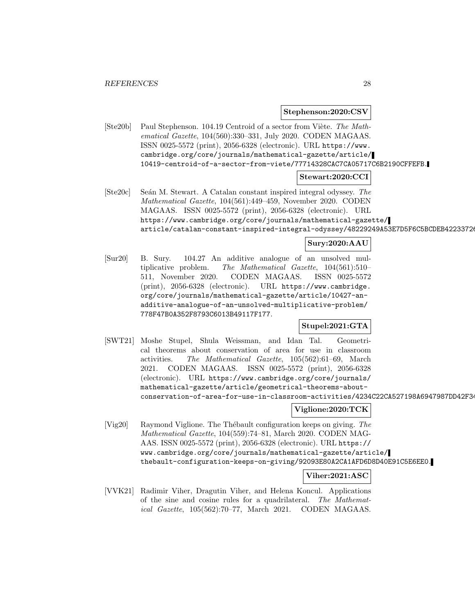**Stephenson:2020:CSV**

 $[Ste20b]$  Paul Stephenson. 104.19 Centroid of a sector from Viète. The Mathematical Gazette, 104(560):330–331, July 2020. CODEN MAGAAS. ISSN 0025-5572 (print), 2056-6328 (electronic). URL https://www. cambridge.org/core/journals/mathematical-gazette/article/ 10419-centroid-of-a-sector-from-viete/77714328CAC7CA05717C6B2190CFFEFB.

#### **Stewart:2020:CCI**

[Ste20c] Se´an M. Stewart. A Catalan constant inspired integral odyssey. The Mathematical Gazette, 104(561):449–459, November 2020. CODEN MAGAAS. ISSN 0025-5572 (print), 2056-6328 (electronic). URL https://www.cambridge.org/core/journals/mathematical-gazette/ article/catalan-constant-inspired-integral-odyssey/48229249A53E7D5F6C5BCDEB42233726

# **Sury:2020:AAU**

[Sur20] B. Sury. 104.27 An additive analogue of an unsolved multiplicative problem. The Mathematical Gazette, 104(561):510– 511, November 2020. CODEN MAGAAS. ISSN 0025-5572 (print), 2056-6328 (electronic). URL https://www.cambridge. org/core/journals/mathematical-gazette/article/10427-anadditive-analogue-of-an-unsolved-multiplicative-problem/ 778F47B0A352F8793C6013B49117F177.

**Stupel:2021:GTA**

[SWT21] Moshe Stupel, Shula Weissman, and Idan Tal. Geometrical theorems about conservation of area for use in classroom activities. The Mathematical Gazette, 105(562):61–69, March 2021. CODEN MAGAAS. ISSN 0025-5572 (print), 2056-6328 (electronic). URL https://www.cambridge.org/core/journals/ mathematical-gazette/article/geometrical-theorems-aboutconservation-of-area-for-use-in-classroom-activities/4234C22CA527198A6947987DD42F34

# **Viglione:2020:TCK**

[Vig20] Raymond Viglione. The Thébault configuration keeps on giving. The Mathematical Gazette, 104(559):74–81, March 2020. CODEN MAG-AAS. ISSN 0025-5572 (print), 2056-6328 (electronic). URL https:// www.cambridge.org/core/journals/mathematical-gazette/article/ thebault-configuration-keeps-on-giving/92093E80A2CA1AFD6D8D40E91C5E6EE0.

# **Viher:2021:ASC**

[VVK21] Radimir Viher, Dragutin Viher, and Helena Koncul. Applications of the sine and cosine rules for a quadrilateral. The Mathematical Gazette, 105(562):70–77, March 2021. CODEN MAGAAS.